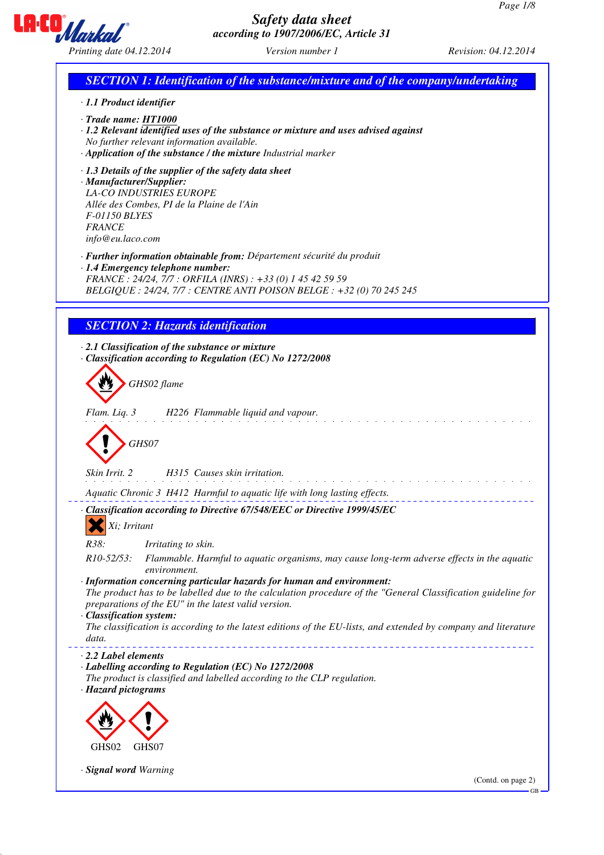

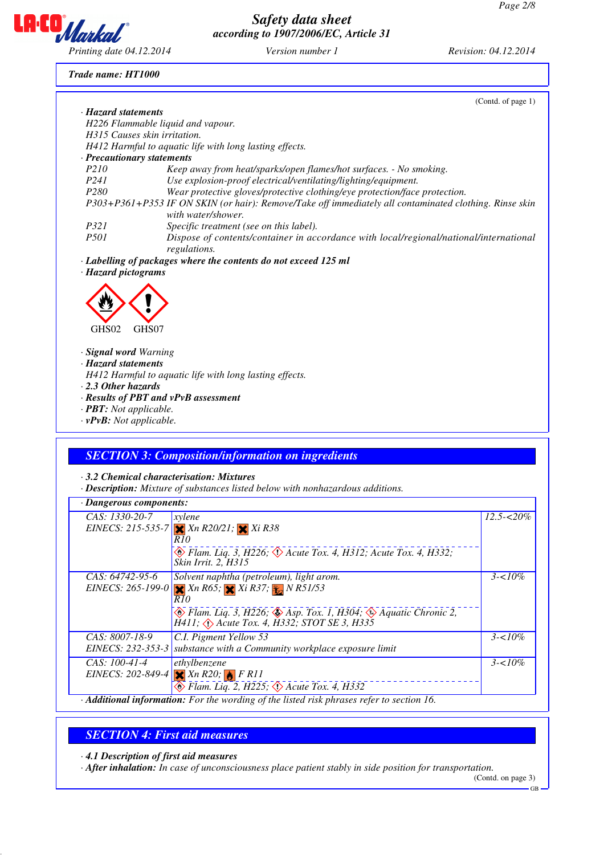

### *Trade name: HT1000*

| · Hazard statements            |                                                                                                                              |
|--------------------------------|------------------------------------------------------------------------------------------------------------------------------|
|                                |                                                                                                                              |
|                                | H226 Flammable liquid and vapour.                                                                                            |
| H315 Causes skin irritation.   |                                                                                                                              |
|                                | H412 Harmful to aquatic life with long lasting effects.                                                                      |
| · Precautionary statements     |                                                                                                                              |
| P210                           | Keep away from heat/sparks/open flames/hot surfaces. - No smoking.                                                           |
| P <sub>241</sub>               | Use explosion-proof electrical/ventilating/lighting/equipment.                                                               |
| P <sub>280</sub>               | Wear protective gloves/protective clothing/eye protection/face protection.                                                   |
|                                | P303+P361+P353 IF ON SKIN (or hair): Remove/Take off immediately all contaminated clothing. Rinse skin<br>with water/shower. |
| P321                           | Specific treatment (see on this label).                                                                                      |
| <i>P501</i>                    | Dispose of contents/container in accordance with local/regional/national/international<br>regulations.                       |
|                                |                                                                                                                              |
| GHS <sub>02</sub><br>GHS07     |                                                                                                                              |
| · Signal word Warning          |                                                                                                                              |
| · Hazard statements            |                                                                                                                              |
|                                |                                                                                                                              |
| $\cdot$ 2.3 Other hazards      | H412 Harmful to aquatic life with long lasting effects.                                                                      |
|                                |                                                                                                                              |
| · <b>PBT</b> : Not applicable. | · Results of PBT and vPvB assessment                                                                                         |

# *SECTION 3: Composition/information on ingredients*

*· 3.2 Chemical characterisation: Mixtures*

*· Description: Mixture of substances listed below with nonhazardous additions.*

| · Dangerous components: |                                                                                                                                                                   |                |
|-------------------------|-------------------------------------------------------------------------------------------------------------------------------------------------------------------|----------------|
| CAS: 1330-20-7          | xylene                                                                                                                                                            | $12.5 - 520\%$ |
|                         | EINECS: 215-535-7 $Xn R20/21$ ; $Xi R38$                                                                                                                          |                |
|                         | R 10                                                                                                                                                              |                |
|                         | $\circledast$ Flam. Liq. 3, H226; $\circledast$ Acute Tox. 4, H312; Acute Tox. 4, H332;<br>Skin Irrit. 2, H315                                                    |                |
| CAS: 64742-95-6         | Solvent naphtha (petroleum), light arom.                                                                                                                          | $3 - 10\%$     |
|                         | EINECS: 265-199-0 $Xn R65$ ; $Xi R37$ ; $Yn R51/53$                                                                                                               |                |
|                         | R 10                                                                                                                                                              |                |
|                         | $\circledast$ Flam. Liq. 3, H226; $\circledast$ Asp. Tox. 1, H304; $\circledast$ Aquatic Chronic 2,<br>$H411$ ; $\bigodot$ Acute Tox. 4, $H332$ ; STOT SE 3, H335 |                |
| CAS: 8007-18-9          | C.I. Pigment Yellow 53                                                                                                                                            | $3 - 10\%$     |
| EINECS: 232-353-3       | substance with a Community workplace exposure limit                                                                                                               |                |
| $CAS: 100-41-4$         | ethylbenzene                                                                                                                                                      | $3 - 10\%$     |
|                         | EINECS: 202-849-4 $Xn R20$ ; $B R11$                                                                                                                              |                |
|                         | $\otimes$ Flam. Lig. 2, H225; $\otimes$ Acute Tox. 4, H332                                                                                                        |                |
|                         | Additional information: For the wording of the listed risk phrases refer to section 16.                                                                           |                |

# *SECTION 4: First aid measures*

*· 4.1 Description of first aid measures*

*· After inhalation: In case of unconsciousness place patient stably in side position for transportation.*

(Contd. on page 3)

GB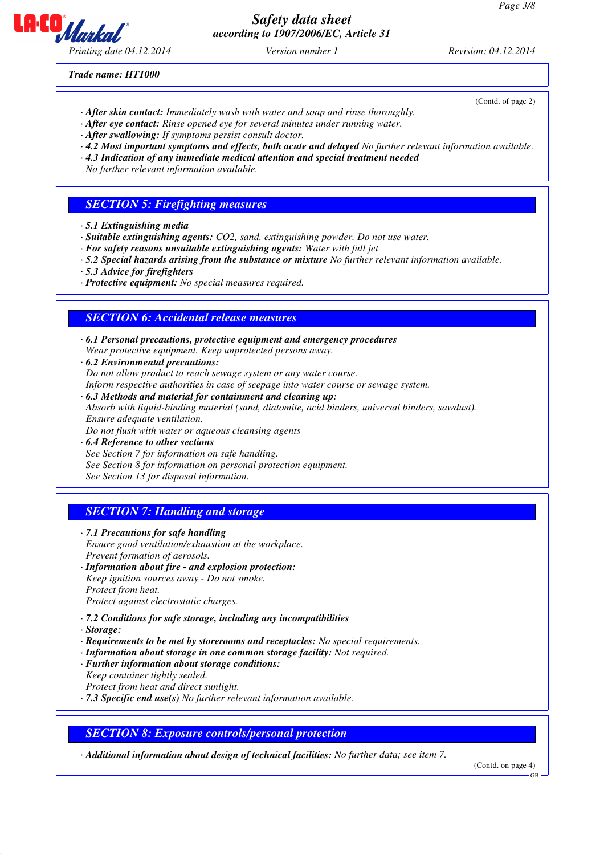

(Contd. of page 2)

*Trade name: HT1000*

- *· After skin contact: Immediately wash with water and soap and rinse thoroughly.*
- *· After eye contact: Rinse opened eye for several minutes under running water.*
- *· After swallowing: If symptoms persist consult doctor.*
- *· 4.2 Most important symptoms and effects, both acute and delayed No further relevant information available.*
- *· 4.3 Indication of any immediate medical attention and special treatment needed*
- *No further relevant information available.*

### *SECTION 5: Firefighting measures*

- *· 5.1 Extinguishing media*
- *· Suitable extinguishing agents: CO2, sand, extinguishing powder. Do not use water.*
- *· For safety reasons unsuitable extinguishing agents: Water with full jet*
- *· 5.2 Special hazards arising from the substance or mixture No further relevant information available.*
- *· 5.3 Advice for firefighters*
- *· Protective equipment: No special measures required.*

## *SECTION 6: Accidental release measures*

*· 6.1 Personal precautions, protective equipment and emergency procedures Wear protective equipment. Keep unprotected persons away.*

- *· 6.2 Environmental precautions: Do not allow product to reach sewage system or any water course. Inform respective authorities in case of seepage into water course or sewage system.*
- *· 6.3 Methods and material for containment and cleaning up: Absorb with liquid-binding material (sand, diatomite, acid binders, universal binders, sawdust). Ensure adequate ventilation. Do not flush with water or aqueous cleansing agents*
- *· 6.4 Reference to other sections See Section 7 for information on safe handling. See Section 8 for information on personal protection equipment. See Section 13 for disposal information.*

# *SECTION 7: Handling and storage*

- *· 7.1 Precautions for safe handling Ensure good ventilation/exhaustion at the workplace. Prevent formation of aerosols.*
- *· Information about fire and explosion protection:*
- *Keep ignition sources away Do not smoke. Protect from heat.*

*Protect against electrostatic charges.*

- *· 7.2 Conditions for safe storage, including any incompatibilities*
- *· Storage:*
- *· Requirements to be met by storerooms and receptacles: No special requirements.*
- *· Information about storage in one common storage facility: Not required.*
- *· Further information about storage conditions:*
- *Keep container tightly sealed.*

*Protect from heat and direct sunlight.*

*· 7.3 Specific end use(s) No further relevant information available.*

## *SECTION 8: Exposure controls/personal protection*

*· Additional information about design of technical facilities: No further data; see item 7.*

(Contd. on page 4)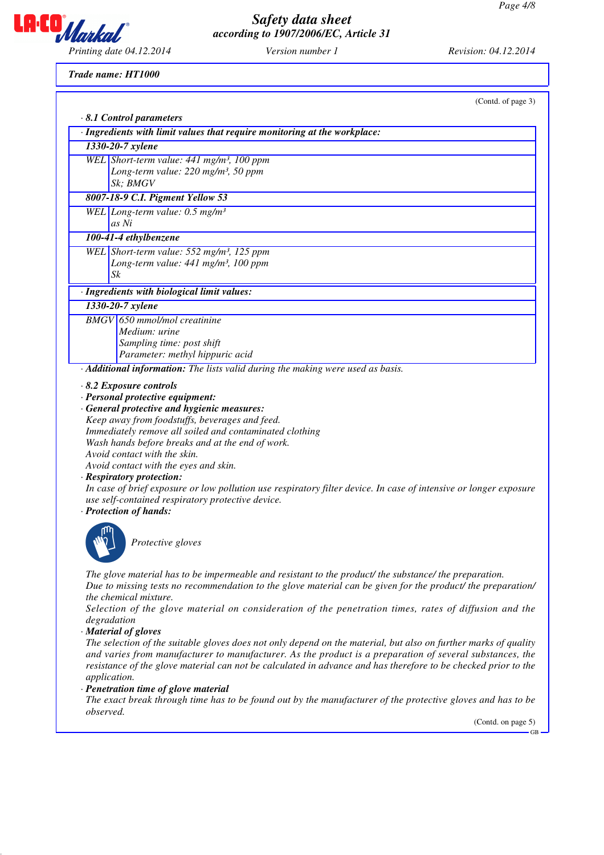

(Contd. of page 3)

*Trade name: HT1000*

| $\cdot$ 8.1 Control parameters                                                                                                                                                                                                                                                                                                                                                                                                                                                                                                                                                                                                                                                                                                                                                                                                                                                                                                      |
|-------------------------------------------------------------------------------------------------------------------------------------------------------------------------------------------------------------------------------------------------------------------------------------------------------------------------------------------------------------------------------------------------------------------------------------------------------------------------------------------------------------------------------------------------------------------------------------------------------------------------------------------------------------------------------------------------------------------------------------------------------------------------------------------------------------------------------------------------------------------------------------------------------------------------------------|
| · Ingredients with limit values that require monitoring at the workplace:                                                                                                                                                                                                                                                                                                                                                                                                                                                                                                                                                                                                                                                                                                                                                                                                                                                           |
| 1330-20-7 xylene                                                                                                                                                                                                                                                                                                                                                                                                                                                                                                                                                                                                                                                                                                                                                                                                                                                                                                                    |
| WEL Short-term value: 441 mg/m <sup>3</sup> , 100 ppm<br>Long-term value: 220 mg/m <sup>3</sup> , 50 ppm                                                                                                                                                                                                                                                                                                                                                                                                                                                                                                                                                                                                                                                                                                                                                                                                                            |
| Sk; BMGV                                                                                                                                                                                                                                                                                                                                                                                                                                                                                                                                                                                                                                                                                                                                                                                                                                                                                                                            |
| 8007-18-9 C.I. Pigment Yellow 53                                                                                                                                                                                                                                                                                                                                                                                                                                                                                                                                                                                                                                                                                                                                                                                                                                                                                                    |
| WEL Long-term value: $0.5$ mg/m <sup>3</sup><br>as Ni                                                                                                                                                                                                                                                                                                                                                                                                                                                                                                                                                                                                                                                                                                                                                                                                                                                                               |
| 100-41-4 ethylbenzene                                                                                                                                                                                                                                                                                                                                                                                                                                                                                                                                                                                                                                                                                                                                                                                                                                                                                                               |
| WEL Short-term value: $552$ mg/m <sup>3</sup> , 125 ppm<br>Long-term value: 441 mg/m <sup>3</sup> , 100 ppm<br>Sk                                                                                                                                                                                                                                                                                                                                                                                                                                                                                                                                                                                                                                                                                                                                                                                                                   |
| · Ingredients with biological limit values:                                                                                                                                                                                                                                                                                                                                                                                                                                                                                                                                                                                                                                                                                                                                                                                                                                                                                         |
| 1330-20-7 xylene                                                                                                                                                                                                                                                                                                                                                                                                                                                                                                                                                                                                                                                                                                                                                                                                                                                                                                                    |
| $BMGV$ 650 mmol/mol creatinine                                                                                                                                                                                                                                                                                                                                                                                                                                                                                                                                                                                                                                                                                                                                                                                                                                                                                                      |
| Medium: urine                                                                                                                                                                                                                                                                                                                                                                                                                                                                                                                                                                                                                                                                                                                                                                                                                                                                                                                       |
| Sampling time: post shift<br>Parameter: methyl hippuric acid                                                                                                                                                                                                                                                                                                                                                                                                                                                                                                                                                                                                                                                                                                                                                                                                                                                                        |
| · Additional information: The lists valid during the making were used as basis.                                                                                                                                                                                                                                                                                                                                                                                                                                                                                                                                                                                                                                                                                                                                                                                                                                                     |
| $\cdot$ 8.2 Exposure controls<br>· Personal protective equipment:<br>· General protective and hygienic measures:<br>Keep away from foodstuffs, beverages and feed.<br>Immediately remove all soiled and contaminated clothing<br>Wash hands before breaks and at the end of work.<br>Avoid contact with the skin.<br>Avoid contact with the eyes and skin.<br>· Respiratory protection:<br>In case of brief exposure or low pollution use respiratory filter device. In case of intensive or longer exposure<br>use self-contained respiratory protective device.<br>· Protection of hands:<br>Protective gloves                                                                                                                                                                                                                                                                                                                    |
| The glove material has to be impermeable and resistant to the product/ the substance/ the preparation.<br>Due to missing tests no recommendation to the glove material can be given for the product/ the preparation/<br>the chemical mixture.<br>Selection of the glove material on consideration of the penetration times, rates of diffusion and the<br>degradation<br>· Material of gloves<br>The selection of the suitable gloves does not only depend on the material, but also on further marks of quality<br>and varies from manufacturer to manufacturer. As the product is a preparation of several substances, the<br>resistance of the glove material can not be calculated in advance and has therefore to be checked prior to the<br>application.<br>· Penetration time of glove material<br>The exact break through time has to be found out by the manufacturer of the protective gloves and has to be<br>observed. |

(Contd. on page 5) GB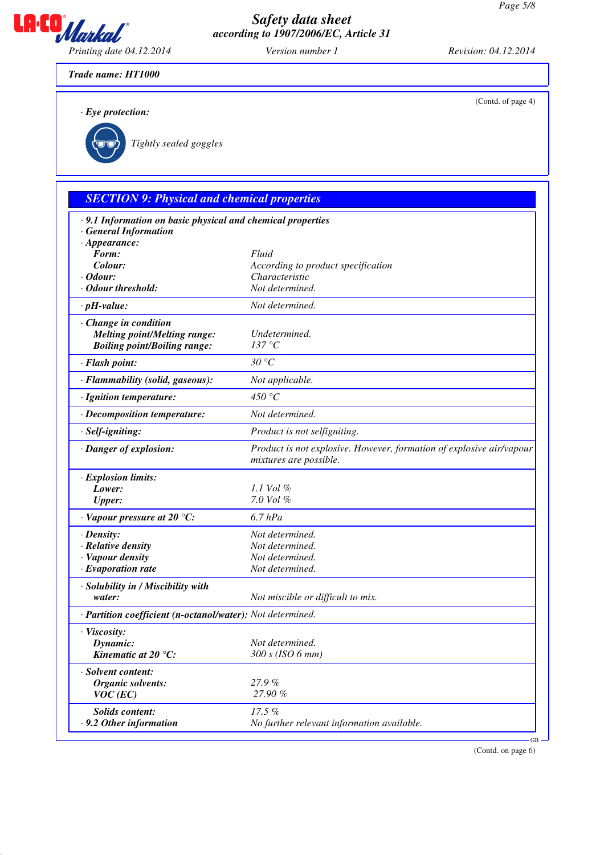

(Contd. of page 4)

*Trade name: HT1000*

*· Eye protection:*



`R*Tightly sealed goggles*

# *SECTION 9: Physical and chemical properties*

| · 9.1 Information on basic physical and chemical properties |                                                                      |
|-------------------------------------------------------------|----------------------------------------------------------------------|
| <b>General Information</b>                                  |                                                                      |
| $\cdot$ Appearance:                                         |                                                                      |
| Form:<br>Colour:                                            | Fluid<br>According to product specification                          |
| $\cdot$ Odour:                                              | Characteristic                                                       |
| · Odour threshold:                                          | Not determined.                                                      |
| $\cdot$ pH-value:                                           | Not determined.                                                      |
|                                                             |                                                                      |
| · Change in condition                                       |                                                                      |
| <b>Melting point/Melting range:</b>                         | Undetermined.<br>137 °C                                              |
| <b>Boiling point/Boiling range:</b>                         |                                                                      |
| · Flash point:                                              | 30 °C                                                                |
| · Flammability (solid, gaseous):                            | Not applicable.                                                      |
| · Ignition temperature:                                     | 450 $\degree$ C                                                      |
| · Decomposition temperature:                                | Not determined.                                                      |
| · Self-igniting:                                            | Product is not selfigniting.                                         |
| · Danger of explosion:                                      | Product is not explosive. However, formation of explosive air/vapour |
|                                                             | mixtures are possible.                                               |
| · Explosion limits:                                         |                                                                      |
| Lower:                                                      | 1.1 Vol $\%$                                                         |
| <b>Upper:</b>                                               | 7.0 Vol %                                                            |
| $\cdot$ Vapour pressure at 20 °C:                           | $6.7$ $hPa$                                                          |
| $\cdot$ Density:                                            | Not determined.                                                      |
| · Relative density                                          | Not determined.                                                      |
| · Vapour density                                            | Not determined.                                                      |
| $\cdot$ Evaporation rate                                    | Not determined.                                                      |
| · Solubility in / Miscibility with                          |                                                                      |
| water:                                                      | Not miscible or difficult to mix.                                    |
| · Partition coefficient (n-octanol/water): Not determined.  |                                                                      |
| · Viscosity:                                                |                                                                      |
| Dynamic:                                                    | Not determined.                                                      |
| Kinematic at 20 $^{\circ}C$ :                               | 300 s (ISO 6 mm)                                                     |
| · Solvent content:                                          |                                                                      |
| <b>Organic solvents:</b>                                    | 27.9%                                                                |
| $VOC$ (EC)                                                  | 27.90%                                                               |
| <b>Solids content:</b>                                      | 17.5%                                                                |
| .9.2 Other information                                      | No further relevant information available.                           |
|                                                             | GB-                                                                  |

(Contd. on page 6)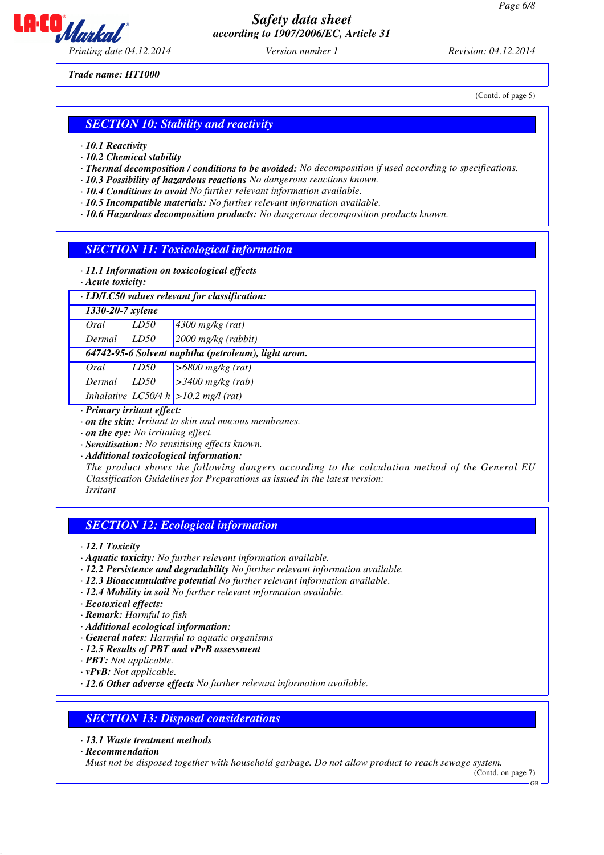

*Trade name: HT1000*

(Contd. of page 5)

### *SECTION 10: Stability and reactivity*

- *· 10.1 Reactivity*
- *· 10.2 Chemical stability*
- *· Thermal decomposition / conditions to be avoided: No decomposition if used according to specifications.*
- *· 10.3 Possibility of hazardous reactions No dangerous reactions known.*
- *· 10.4 Conditions to avoid No further relevant information available.*
- *· 10.5 Incompatible materials: No further relevant information available.*
- *· 10.6 Hazardous decomposition products: No dangerous decomposition products known.*

### *SECTION 11: Toxicological information*

- *· 11.1 Information on toxicological effects*
- *· Acute toxicity:*

### *· LD/LC50 values relevant for classification:*

| 1330-20-7 xylene |      |                                                     |
|------------------|------|-----------------------------------------------------|
| Oral             | LD50 | $4300$ mg/kg (rat)                                  |
| Dermal           | LD50 | $2000$ mg/kg (rabbit)                               |
|                  |      | 64742-95-6 Solvent naphtha (petroleum), light arom. |
| Oral             | LD50 | $>6800$ mg/kg (rat)                                 |
| Dermal           | LD50 | $>3400$ mg/kg (rab)                                 |

*Inhalative LC50/4 h >10.2 mg/l (rat)*

- *· Primary irritant effect:*
- *· on the skin: Irritant to skin and mucous membranes.*
- *· on the eye: No irritating effect.*
- *· Sensitisation: No sensitising effects known.*
- *· Additional toxicological information:*

*The product shows the following dangers according to the calculation method of the General EU Classification Guidelines for Preparations as issued in the latest version: Irritant*

### *SECTION 12: Ecological information*

*· 12.1 Toxicity*

- *· Aquatic toxicity: No further relevant information available.*
- *· 12.2 Persistence and degradability No further relevant information available.*
- *· 12.3 Bioaccumulative potential No further relevant information available.*
- *· 12.4 Mobility in soil No further relevant information available.*
- *· Ecotoxical effects:*
- *· Remark: Harmful to fish*
- *· Additional ecological information:*
- *· General notes: Harmful to aquatic organisms*
- *· 12.5 Results of PBT and vPvB assessment*
- *· PBT: Not applicable.*
- *· vPvB: Not applicable.*
- *· 12.6 Other adverse effects No further relevant information available.*

## *SECTION 13: Disposal considerations*

- *· 13.1 Waste treatment methods*
- *· Recommendation*

*Must not be disposed together with household garbage. Do not allow product to reach sewage system.*

(Contd. on page 7)

GB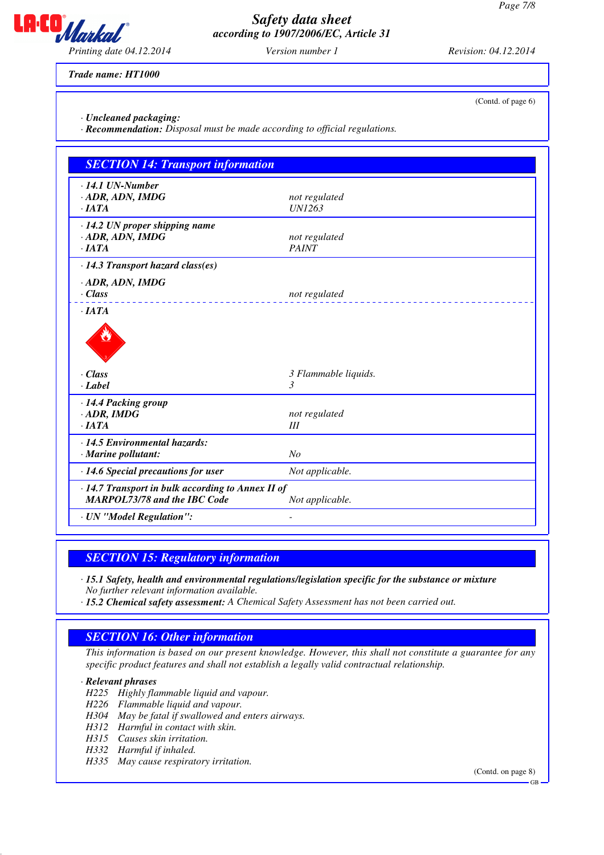

*Trade name: HT1000*

*· Uncleaned packaging:*

*· Recommendation: Disposal must be made according to official regulations.*

| <b>SECTION 14: Transport information</b>                                                 |                                |  |
|------------------------------------------------------------------------------------------|--------------------------------|--|
| $\cdot$ 14.1 UN-Number<br>$-$ ADR, ADN, IMDG<br>$\cdot$ IATA                             | not regulated<br><b>UN1263</b> |  |
| $\cdot$ 14.2 UN proper shipping name<br>$-$ ADR, ADN, IMDG<br>$\cdot$ <i>IATA</i>        | not regulated<br><b>PAINT</b>  |  |
| $\cdot$ 14.3 Transport hazard class(es)<br>· ADR, ADN, IMDG<br>$\cdot$ Class             | not regulated                  |  |
| $\cdot$ <i>IATA</i><br>$\cdot$ Class<br>$\cdot$ <i>Label</i>                             | 3 Flammable liquids.<br>3      |  |
| · 14.4 Packing group<br>$\cdot$ ADR, IMDG<br>$\cdot$ <i>IATA</i>                         | not regulated<br>III           |  |
| · 14.5 Environmental hazards:<br>$\cdot$ Marine pollutant:                               | No                             |  |
| $\cdot$ 14.6 Special precautions for user                                                | Not applicable.                |  |
| · 14.7 Transport in bulk according to Annex II of<br><b>MARPOL73/78 and the IBC Code</b> | Not applicable.                |  |
| · UN "Model Regulation":                                                                 | $\overline{\phantom{0}}$       |  |

*SECTION 15: Regulatory information*

*· 15.1 Safety, health and environmental regulations/legislation specific for the substance or mixture No further relevant information available.*

*· 15.2 Chemical safety assessment: A Chemical Safety Assessment has not been carried out.*

# *SECTION 16: Other information*

*This information is based on our present knowledge. However, this shall not constitute a guarantee for any specific product features and shall not establish a legally valid contractual relationship.*

### *· Relevant phrases*

- *H225 Highly flammable liquid and vapour.*
- *H226 Flammable liquid and vapour.*
- *H304 May be fatal if swallowed and enters airways.*
- *H312 Harmful in contact with skin.*
- *H315 Causes skin irritation.*
- *H332 Harmful if inhaled.*
- *H335 May cause respiratory irritation.*

(Contd. on page 8)

GB

(Contd. of page 6)